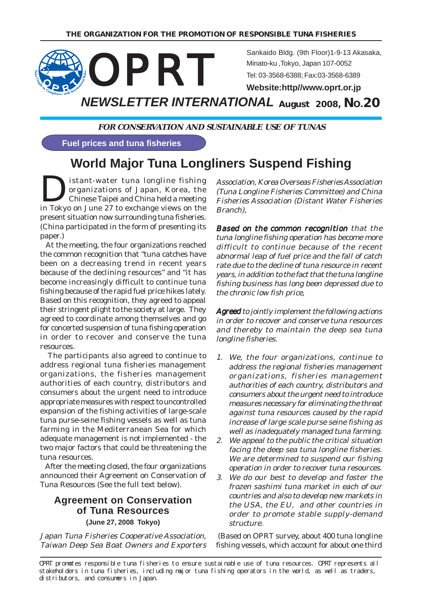

**FOR CONSERVATION AND SUSTAINABLE USE OF TUNAS**

**Fuel prices and tuna fisheries**

# **World Major Tuna Longliners Suspend Fishing**

**D**istant-water tuna longline fishing<br>organizations of Japan, Korea, the<br>Chinese Taipei and China held a meeting organizations of Japan, Korea, the Chinese Taipei and China held a meeting in Tokyo on June 27 to exchange views on the present situation now surrounding tuna fisheries. (China participated in the form of presenting its paper.)

 At the meeting, the four organizations reached the common recognition that "tuna catches have been on a decreasing trend in recent years because of the declining resources" and "it has become increasingly difficult to continue tuna fishing because of the rapid fuel price hikes lately. Based on this recognition, they agreed to appeal their stringent plight to the society at large. They agreed to coordinate among themselves and go for concerted suspension of tuna fishing operation in order to recover and conserve the tuna resources.

 The participants also agreed to continue to address regional tuna fisheries management organizations, the fisheries management authorities of each country, distributors and consumers about the urgent need to introduce appropriate measures with respect to uncontrolled expansion of the fishing activities of large-scale tuna purse-seine fishing vessels as well as tuna farming in the Mediterranean Sea for which adequate management is not implemented - the two major factors that could be threatening the tuna resources.

 After the meeting closed, the four organizations announced their Agreement on Conservation of Tuna Resources (See the full text below).

### **Agreement on Conservation of Tuna Resources (June 27, 2008 Tokyo)**

Japan Tuna Fisheries Cooperative Association, Taiwan Deep Sea Boat Owners and Exporters Association, Korea Overseas Fisheries Association (Tuna Longline Fisheries Committee) and China Fisheries Association (Distant Water Fisheries Branch),

Based on the common recognition that the tuna longline fishing operation has become more difficult to continue because of the recent abnormal leap of fuel price and the fall of catch rate due to the decline of tuna resource in recent years, in addition to the fact that the tuna longline fishing business has long been depressed due to the chronic low fish price,

**Agreed** to jointly implement the following actions in order to recover and conserve tuna resources and thereby to maintain the deep sea tuna longline fisheries.

- 1. We, the four organizations, continue to address the regional fisheries management organizations, fisheries management authorities of each country, distributors and consumers about the urgent need to introduce measures necessary for eliminating the threat against tuna resources caused by the rapid increase of large scale purse seine fishing as well as inadequately managed tuna farming.
- 2. We appeal to the public the critical situation facing the deep sea tuna longline fisheries. We are determined to suspend our fishing operation in order to recover tuna resources.
- 3. We do our best to develop and foster the frozen sashimi tuna market in each of our countries and also to develop new markets in the USA, the EU, and other countries in order to promote stable supply-demand structure.

 (Based on OPRT survey, about 400 tuna longline fishing vessels, which account for about one third

OPRT promotes responsible tuna fisheries to ensure sustainable use of tuna resources. OPRT represents all stakeholders in tuna fisheries, including major tuna fishing operators in the world, as well as traders, distributors, and consumers in Japan.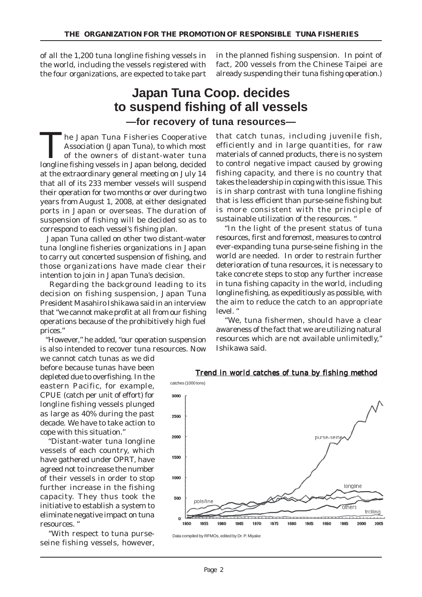of all the 1,200 tuna longline fishing vessels in the world, including the vessels registered with the four organizations, are expected to take part in the planned fishing suspension. In point of fact, 200 vessels from the Chinese Taipei are already suspending their tuna fishing operation.)

### **Japan Tuna Coop. decides to suspend fishing of all vessels —for recovery of tuna resources—**

The Japan Tuna Fisheries Cooperative<br>Association (Japan Tuna), to which most<br>of the owners of distant-water tuna<br>longling fishing wasals in Japan belong decided Association (Japan Tuna), to which most longline fishing vessels in Japan belong, decided at the extraordinary general meeting on July 14 that all of its 233 member vessels will suspend their operation for two months or over during two years from August 1, 2008, at either designated ports in Japan or overseas. The duration of suspension of fishing will be decided so as to correspond to each vessel's fishing plan.

 Japan Tuna called on other two distant-water tuna longline fisheries organizations in Japan to carry out concerted suspension of fishing, and those organizations have made clear their intention to join in Japan Tuna's decision.

 Regarding the background leading to its decision on fishing suspension, Japan Tuna President Masahiro Ishikawa said in an interview that "we cannot make profit at all from our fishing operations because of the prohibitively high fuel prices."

 "However," he added, "our operation suspension is also intended to recover tuna resources. Now

we cannot catch tunas as we did before because tunas have been depleted due to overfishing. In the eastern Pacific, for example, CPUE (catch per unit of effort) for longline fishing vessels plunged as large as 40% during the past decade. We have to take action to cope with this situation."

 "Distant-water tuna longline vessels of each country, which have gathered under OPRT, have agreed not to increase the number of their vessels in order to stop further increase in the fishing capacity. They thus took the initiative to establish a system to eliminate negative impact on tuna resources. "

 "With respect to tuna purseseine fishing vessels, however,

that catch tunas, including juvenile fish, efficiently and in large quantities, for raw materials of canned products, there is no system to control negative impact caused by growing fishing capacity, and there is no country that takes the leadership in coping with this issue. This is in sharp contrast with tuna longline fishing that is less efficient than purse-seine fishing but is more consistent with the principle of sustainable utilization of the resources. "

 "In the light of the present status of tuna resources, first and foremost, measures to control ever-expanding tuna purse-seine fishing in the world are needed. In order to restrain further deterioration of tuna resources, it is necessary to take concrete steps to stop any further increase in tuna fishing capacity in the world, including longline fishing, as expeditiously as possible, with the aim to reduce the catch to an appropriate level. "

 "We, tuna fishermen, should have a clear awareness of the fact that we are utilizing natural resources which are not available unlimitedly," Ishikawa said.



#### Trend in world catches of tuna by fishing method

Data compiled by RFMOs, edited by Dr. P. Miyake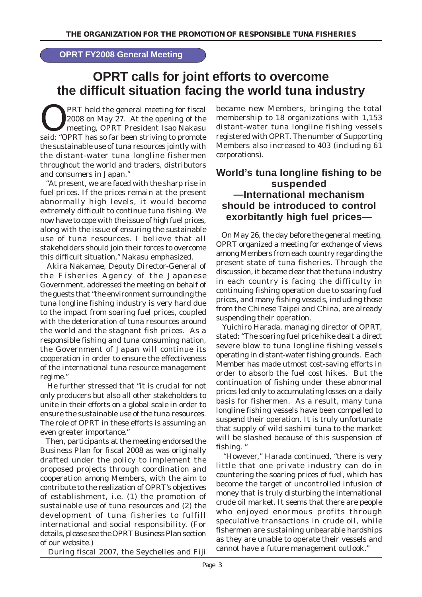#### **OPRT FY2008 General Meeting**

## **OPRT calls for joint efforts to overcome the difficult situation facing the world tuna industry**

**OPRT held the general meeting for fiscal**<br>
2008 on May 27. At the opening of the<br>
meeting, OPRT President Isao Nakasu<br> **COPRT has as for hasp striving to mempts** 2008 on May 27. At the opening of the said: "OPRT has so far been striving to promote the sustainable use of tuna resources jointly with the distant-water tuna longline fishermen throughout the world and traders, distributors and consumers in Japan."

 "At present, we are faced with the sharp rise in fuel prices. If the prices remain at the present abnormally high levels, it would become extremely difficult to continue tuna fishing. We now have to cope with the issue of high fuel prices, along with the issue of ensuring the sustainable use of tuna resources. I believe that all stakeholders should join their forces to overcome this difficult situation," Nakasu emphasized.

 Akira Nakamae, Deputy Director-General of the Fisheries Agency of the Japanese Government, addressed the meeting on behalf of the guests that "the environment surrounding the tuna longline fishing industry is very hard due to the impact from soaring fuel prices, coupled with the deterioration of tuna resources around the world and the stagnant fish prices. As a responsible fishing and tuna consuming nation, the Government of Japan will continue its cooperation in order to ensure the effectiveness of the international tuna resource management regime."

 He further stressed that "it is crucial for not only producers but also all other stakeholders to unite in their efforts on a global scale in order to ensure the sustainable use of the tuna resources. The role of OPRT in these efforts is assuming an even greater importance."

 Then, participants at the meeting endorsed the Business Plan for fiscal 2008 as was originally drafted under the policy to implement the proposed projects through coordination and cooperation among Members, with the aim to contribute to the realization of OPRT's objectives of establishment, i.e. (1) the promotion of sustainable use of tuna resources and (2) the development of tuna fisheries to fulfill international and social responsibility. (For details, please see the OPRT Business Plan section of our website.)

became new Members, bringing the total membership to 18 organizations with 1,153 distant-water tuna longline fishing vessels registered with OPRT. The number of Supporting Members also increased to 403 (including 61 corporations).

### **World's tuna longline fishing to be suspended —International mechanism should be introduced to control exorbitantly high fuel prices—**

 On May 26, the day before the general meeting, OPRT organized a meeting for exchange of views among Members from each country regarding the present state of tuna fisheries. Through the discussion, it became clear that the tuna industry in each country is facing the difficulty in continuing fishing operation due to soaring fuel prices, and many fishing vessels, including those from the Chinese Taipei and China, are already suspending their operation.

 Yuichiro Harada, managing director of OPRT, stated: "The soaring fuel price hike dealt a direct severe blow to tuna longline fishing vessels operating in distant-water fishing grounds. Each Member has made utmost cost-saving efforts in order to absorb the fuel cost hikes. But the continuation of fishing under these abnormal prices led only to accumulating losses on a daily basis for fishermen. As a result, many tuna longline fishing vessels have been compelled to suspend their operation. It is truly unfortunate that supply of wild sashimi tuna to the market will be slashed because of this suspension of fishing. "

 "However," Harada continued, "there is very little that one private industry can do in countering the soaring prices of fuel, which has become the target of uncontrolled infusion of money that is truly disturbing the international crude oil market. It seems that there are people who enjoyed enormous profits through speculative transactions in crude oil, while fishermen are sustaining unbearable hardships as they are unable to operate their vessels and cannot have a future management outlook."

During fiscal 2007, the Seychelles and Fiji